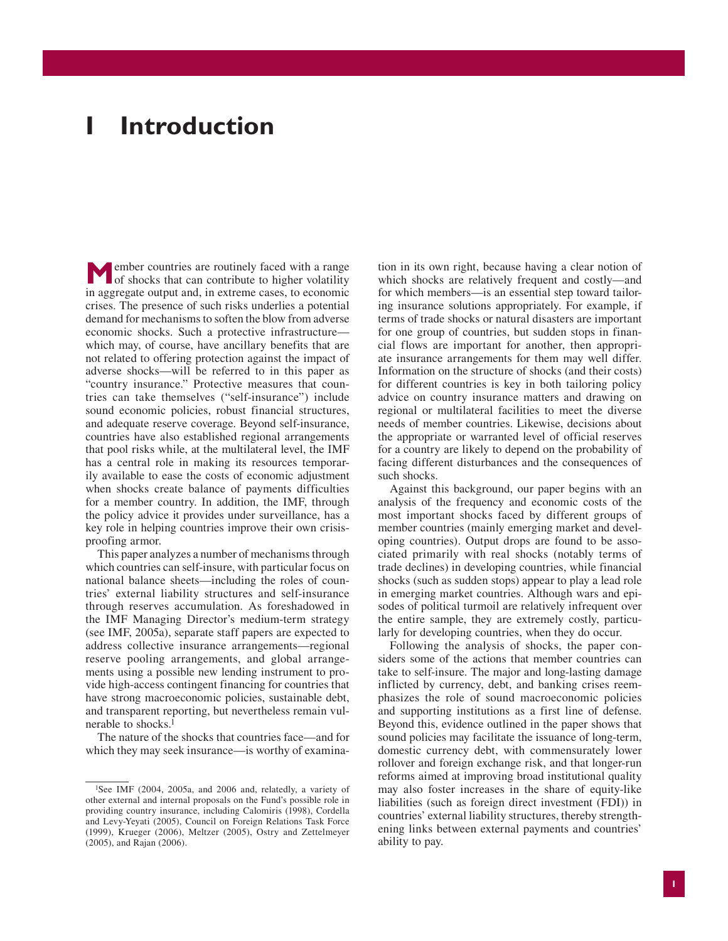## **I Introduction**

**M**ember countries are routinely faced with a range of shocks that can contribute to higher volatility in aggregate output and, in extreme cases, to economic crises. The presence of such risks underlies a potential demand for mechanisms to soften the blow from adverse economic shocks. Such a protective infrastructure which may, of course, have ancillary benefits that are not related to offering protection against the impact of adverse shocks—will be referred to in this paper as "country insurance." Protective measures that countries can take themselves ("self-insurance") include sound economic policies, robust financial structures, and adequate reserve coverage. Beyond self-insurance, countries have also established regional arrangements that pool risks while, at the multilateral level, the IMF has a central role in making its resources temporarily available to ease the costs of economic adjustment when shocks create balance of payments difficulties for a member country. In addition, the IMF, through the policy advice it provides under surveillance, has a key role in helping countries improve their own crisisproofing armor.

This paper analyzes a number of mechanisms through which countries can self-insure, with particular focus on national balance sheets—including the roles of countries' external liability structures and self-insurance through reserves accumulation. As foreshadowed in the IMF Managing Director's medium-term strategy (see IMF, 2005a), separate staff papers are expected to address collective insurance arrangements—regional reserve pooling arrangements, and global arrangements using a possible new lending instrument to provide high-access contingent financing for countries that have strong macroeconomic policies, sustainable debt, and transparent reporting, but nevertheless remain vulnerable to shocks.1

The nature of the shocks that countries face—and for which they may seek insurance—is worthy of examination in its own right, because having a clear notion of which shocks are relatively frequent and costly—and for which members—is an essential step toward tailoring insurance solutions appropriately. For example, if terms of trade shocks or natural disasters are important for one group of countries, but sudden stops in financial flows are important for another, then appropriate insurance arrangements for them may well differ. Information on the structure of shocks (and their costs) for different countries is key in both tailoring policy advice on country insurance matters and drawing on regional or multilateral facilities to meet the diverse needs of member countries. Likewise, decisions about the appropriate or warranted level of official reserves for a country are likely to depend on the probability of facing different disturbances and the consequences of such shocks.

Against this background, our paper begins with an analysis of the frequency and economic costs of the most important shocks faced by different groups of member countries (mainly emerging market and developing countries). Output drops are found to be associated primarily with real shocks (notably terms of trade declines) in developing countries, while financial shocks (such as sudden stops) appear to play a lead role in emerging market countries. Although wars and episodes of political turmoil are relatively infrequent over the entire sample, they are extremely costly, particularly for developing countries, when they do occur.

Following the analysis of shocks, the paper considers some of the actions that member countries can take to self-insure. The major and long-lasting damage inflicted by currency, debt, and banking crises reemphasizes the role of sound macroeconomic policies and supporting institutions as a first line of defense. Beyond this, evidence outlined in the paper shows that sound policies may facilitate the issuance of long-term, domestic currency debt, with commensurately lower rollover and foreign exchange risk, and that longer-run reforms aimed at improving broad institutional quality may also foster increases in the share of equity-like liabilities (such as foreign direct investment (FDI)) in countries' external liability structures, thereby strengthening links between external payments and countries' ability to pay.

<sup>1</sup>See IMF (2004, 2005a, and 2006 and, relatedly, a variety of other external and internal proposals on the Fund's possible role in providing country insurance, including Calomiris (1998), Cordella and Levy-Yeyati (2005), Council on Foreign Relations Task Force (1999), Krueger (2006), Meltzer (2005), Ostry and Zettelmeyer (2005), and Rajan (2006).